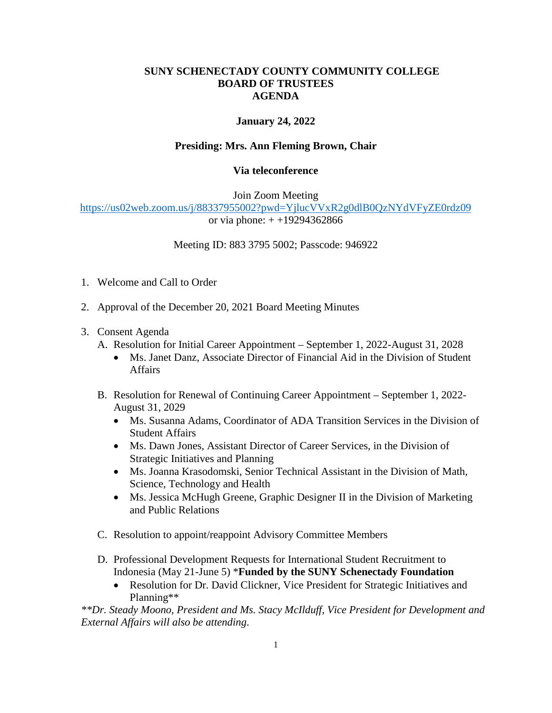## **SUNY SCHENECTADY COUNTY COMMUNITY COLLEGE BOARD OF TRUSTEES AGENDA**

## **January 24, 2022**

## **Presiding: Mrs. Ann Fleming Brown, Chair**

## **Via teleconference**

Join Zoom Meeting

<https://us02web.zoom.us/j/88337955002?pwd=YjlucVVxR2g0dlB0QzNYdVFyZE0rdz09> or via phone: + +19294362866

Meeting ID: 883 3795 5002; Passcode: 946922

- 1. Welcome and Call to Order
- 2. Approval of the December 20, 2021 Board Meeting Minutes
- 3. Consent Agenda
- 3. Consent Agenda<br>
A. Resolution for Initial Career Appointment September 1, 2022-August 31, 2028
	- Ms. Janet Danz, Associate Director of Financial Aid in the Division of Student Affairs
	- B. Resolution for Renewal of Continuing Career Appointment September 1, 2022- August 31, 2029
		- Ms. Susanna Adams, Coordinator of ADA Transition Services in the Division of Student Affairs
		- Ms. Dawn Jones, Assistant Director of Career Services, in the Division of Strategic Initiatives and Planning
		- Ms. Joanna Krasodomski, Senior Technical Assistant in the Division of Math, Science, Technology and Health
		- Ms. Jessica McHugh Greene, Graphic Designer II in the Division of Marketing and Public Relations
	- C. Resolution to appoint/reappoint Advisory Committee Members
	- D. Professional Development Requests for International Student Recruitment to Indonesia (May 21-June 5) \***Funded by the SUNY Schenectady Foundation** 
		- Resolution for Dr. David Clickner, Vice President for Strategic Initiatives and Planning\*\*

*\*\*Dr. Steady Moono, President and Ms. Stacy McIlduff, Vice President for Development and External Affairs will also be attending*.